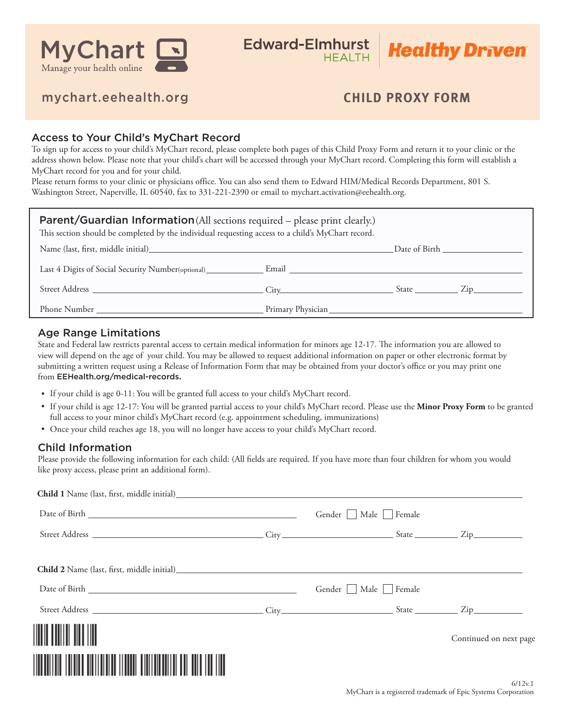

**Healthy Driven** 

## mychart.eehealth.org

# **CHILD PROXY FORM**

### Access to Your Child's MyChart Record

To sign up for access to your child's MyChart record, please complete both pages of this Child Proxy Form and return it to your clinic or the address shown below. Please note that your child's chart will be accessed through your MyChart record. Completing this form will establish a MyChart record for you and for your child.

Please return forms to your clinic or physicians office. You can also send them to Edward HIM/Medical Records Department, 801 S. Washington Street, Naperville, IL 60540, fax to 331-221-2390 or email to mychart.activation@eehealth.org.

| <b>Parent/Guardian Information</b> (All sections required – please print clearly.)<br>This section should be completed by the individual requesting access to a child's MyChart record.                                        |  |  |               |  |  |  |
|--------------------------------------------------------------------------------------------------------------------------------------------------------------------------------------------------------------------------------|--|--|---------------|--|--|--|
| Name (last, first, middle initial) Samuel Contract and the contract of the contract of the contract of the contract of the contract of the contract of the contract of the contract of the contract of the contract of the con |  |  |               |  |  |  |
|                                                                                                                                                                                                                                |  |  |               |  |  |  |
|                                                                                                                                                                                                                                |  |  | $State$ $Zip$ |  |  |  |
|                                                                                                                                                                                                                                |  |  |               |  |  |  |

### Age Range Limitations

State and Federal law restricts parental access to certain medical information for minors age 12-17. The information you are allowed to view will depend on the age of your child. You may be allowed to request additional information on paper or other electronic format by submitting a written request using a Release of Information Form that may be obtained from your doctor's office or you may print one from EEHealth.org/medical-records**.**

- If your child is age 0-11: You will be granted full access to your child's MyChart record.
- If your child is age 12-17: You will be granted partial access to your child's MyChart record. Please use the **Minor Proxy Form** to be granted full access to your minor child's MyChart record (e.g. appointment scheduling, immunizations)
- Once your child reaches age 18, you will no longer have access to your child's MyChart record.

### Child Information

Please provide the following information for each child: (All fields are required. If you have more than four children for whom you would like proxy access, please print an additional form).

| <b>Child 1</b> Name (last, first, middle initial) Laterated and the set of the set of the set of the set of the set of the set of the set of the set of the set of the set of the set of the set of the set of the set of the set o |                             |                        |
|-------------------------------------------------------------------------------------------------------------------------------------------------------------------------------------------------------------------------------------|-----------------------------|------------------------|
|                                                                                                                                                                                                                                     | Gender     Male     Female  |                        |
|                                                                                                                                                                                                                                     |                             |                        |
| <b>Child 2</b> Name (last, first, middle initial)                                                                                                                                                                                   |                             |                        |
|                                                                                                                                                                                                                                     | Gender    <br>Male   Female |                        |
|                                                                                                                                                                                                                                     |                             |                        |
| <u> Hillingan k</u>                                                                                                                                                                                                                 |                             | Continued on next page |
| ∭∭                                                                                                                                                                                                                                  |                             |                        |